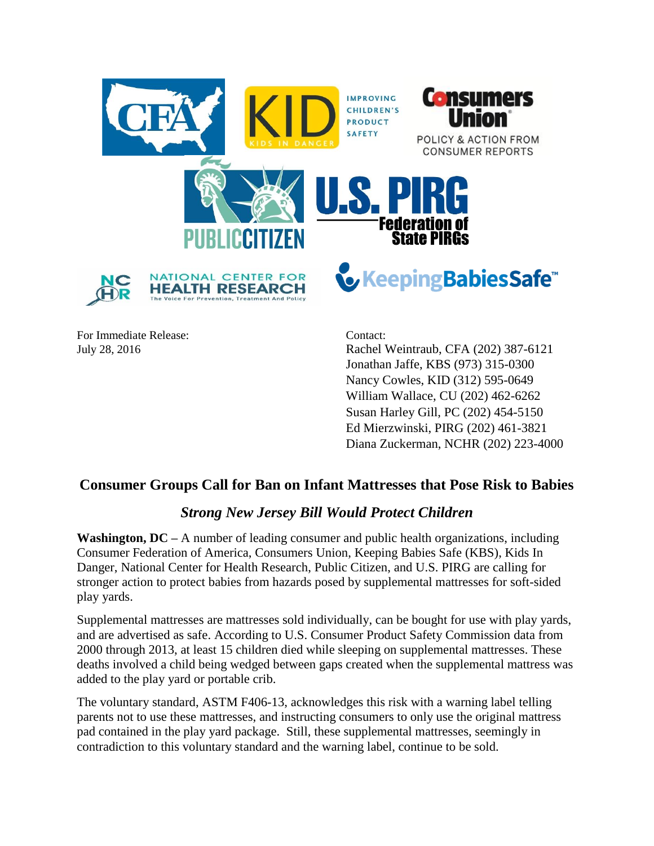

For Immediate Release: Contact:

July 28, 2016 Rachel Weintraub, CFA (202) 387-6121 Jonathan Jaffe, KBS (973) 315-0300 Nancy Cowles, KID (312) 595-0649 William Wallace, CU (202) 462-6262 Susan Harley Gill, PC (202) 454-5150 Ed Mierzwinski, PIRG (202) 461-3821 Diana Zuckerman, NCHR (202) 223-4000

## **Consumer Groups Call for Ban on Infant Mattresses that Pose Risk to Babies**

## *Strong New Jersey Bill Would Protect Children*

**Washington, DC –** A number of leading consumer and public health organizations, including Consumer Federation of America, Consumers Union, Keeping Babies Safe (KBS), Kids In Danger, National Center for Health Research, Public Citizen, and U.S. PIRG are calling for stronger action to protect babies from hazards posed by supplemental mattresses for soft-sided play yards.

Supplemental mattresses are mattresses sold individually, can be bought for use with play yards, and are advertised as safe. According to U.S. Consumer Product Safety Commission data from 2000 through 2013, at least 15 children died while sleeping on supplemental mattresses. These deaths involved a child being wedged between gaps created when the supplemental mattress was added to the play yard or portable crib.

The voluntary standard, ASTM F406-13, acknowledges this risk with a warning label telling parents not to use these mattresses, and instructing consumers to only use the original mattress pad contained in the play yard package. Still, these supplemental mattresses, seemingly in contradiction to this voluntary standard and the warning label, continue to be sold.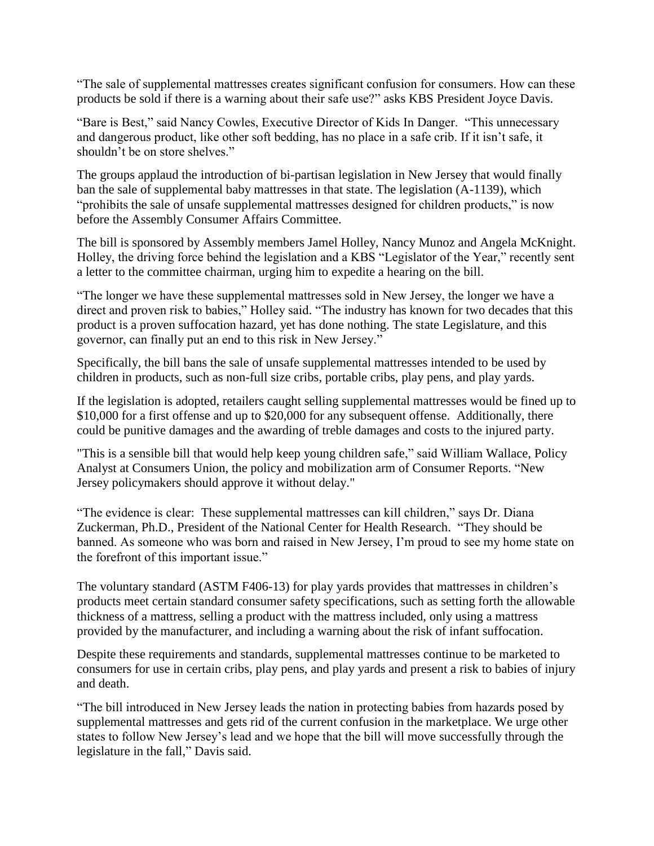"The sale of supplemental mattresses creates significant confusion for consumers. How can these products be sold if there is a warning about their safe use?" asks KBS President Joyce Davis.

"Bare is Best," said Nancy Cowles, Executive Director of Kids In Danger. "This unnecessary and dangerous product, like other soft bedding, has no place in a safe crib. If it isn't safe, it shouldn't be on store shelves."

The groups applaud the introduction of bi-partisan legislation in New Jersey that would finally ban the sale of supplemental baby mattresses in that state. The legislation (A-1139), which "prohibits the sale of unsafe supplemental mattresses designed for children products," is now before the Assembly Consumer Affairs Committee.

The bill is sponsored by Assembly members Jamel Holley, Nancy Munoz and Angela McKnight. Holley, the driving force behind the legislation and a KBS "Legislator of the Year," recently sent a letter to the committee chairman, urging him to expedite a hearing on the bill.

"The longer we have these supplemental mattresses sold in New Jersey, the longer we have a direct and proven risk to babies," Holley said. "The industry has known for two decades that this product is a proven suffocation hazard, yet has done nothing. The state Legislature, and this governor, can finally put an end to this risk in New Jersey."

Specifically, the bill bans the sale of unsafe supplemental mattresses intended to be used by children in products, such as non-full size cribs, portable cribs, play pens, and play yards.

If the legislation is adopted, retailers caught selling supplemental mattresses would be fined up to \$10,000 for a first offense and up to \$20,000 for any subsequent offense. Additionally, there could be punitive damages and the awarding of treble damages and costs to the injured party.

"This is a sensible bill that would help keep young children safe," said William Wallace, Policy Analyst at Consumers Union, the policy and mobilization arm of Consumer Reports. "New Jersey policymakers should approve it without delay."

"The evidence is clear: These supplemental mattresses can kill children," says Dr. Diana Zuckerman, Ph.D., President of the National Center for Health Research. "They should be banned. As someone who was born and raised in New Jersey, I'm proud to see my home state on the forefront of this important issue."

The voluntary standard (ASTM F406-13) for play yards provides that mattresses in children's products meet certain standard consumer safety specifications, such as setting forth the allowable thickness of a mattress, selling a product with the mattress included, only using a mattress provided by the manufacturer, and including a warning about the risk of infant suffocation.

Despite these requirements and standards, supplemental mattresses continue to be marketed to consumers for use in certain cribs, play pens, and play yards and present a risk to babies of injury and death.

"The bill introduced in New Jersey leads the nation in protecting babies from hazards posed by supplemental mattresses and gets rid of the current confusion in the marketplace. We urge other states to follow New Jersey's lead and we hope that the bill will move successfully through the legislature in the fall," Davis said.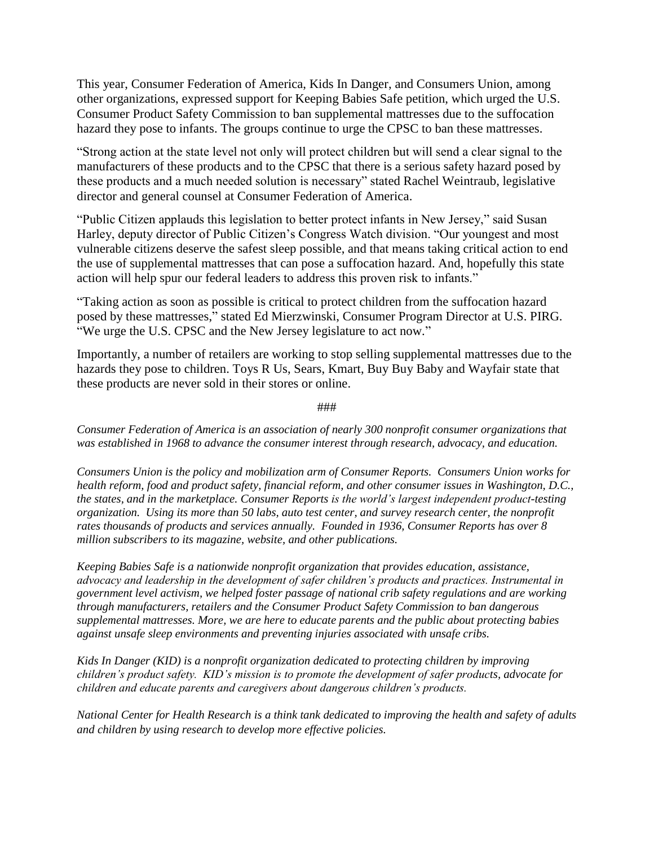This year, Consumer Federation of America, Kids In Danger, and Consumers Union, among other organizations, expressed support for Keeping Babies Safe petition, which urged the U.S. Consumer Product Safety Commission to ban supplemental mattresses due to the suffocation hazard they pose to infants. The groups continue to urge the CPSC to ban these mattresses.

"Strong action at the state level not only will protect children but will send a clear signal to the manufacturers of these products and to the CPSC that there is a serious safety hazard posed by these products and a much needed solution is necessary" stated Rachel Weintraub, legislative director and general counsel at Consumer Federation of America.

"Public Citizen applauds this legislation to better protect infants in New Jersey," said Susan Harley, deputy director of Public Citizen's Congress Watch division. "Our youngest and most vulnerable citizens deserve the safest sleep possible, and that means taking critical action to end the use of supplemental mattresses that can pose a suffocation hazard. And, hopefully this state action will help spur our federal leaders to address this proven risk to infants."

"Taking action as soon as possible is critical to protect children from the suffocation hazard posed by these mattresses," stated Ed Mierzwinski, Consumer Program Director at U.S. PIRG. "We urge the U.S. CPSC and the New Jersey legislature to act now."

Importantly, a number of retailers are working to stop selling supplemental mattresses due to the hazards they pose to children. Toys R Us, Sears, Kmart, Buy Buy Baby and Wayfair state that these products are never sold in their stores or online.

*Consumer Federation of America is an association of nearly 300 nonprofit consumer organizations that was established in 1968 to advance the consumer interest through research, advocacy, and education.* 

*Consumers Union is the policy and mobilization arm of Consumer Reports. Consumers Union works for health reform, food and product safety, financial reform, and other consumer issues in Washington, D.C., the states, and in the marketplace. Consumer Reports is the world's largest independent product-testing organization. Using its more than 50 labs, auto test center, and survey research center, the nonprofit rates thousands of products and services annually. Founded in 1936, Consumer Reports has over 8 million subscribers to its magazine, website, and other publications.*

*Keeping Babies Safe is a nationwide nonprofit organization that provides education, assistance, advocacy and leadership in the development of safer children's products and practices. Instrumental in government level activism, we helped foster passage of national crib safety regulations and are working through manufacturers, retailers and the Consumer Product Safety Commission to ban dangerous supplemental mattresses. More, we are here to educate parents and the public about protecting babies against unsafe sleep environments and preventing injuries associated with unsafe cribs.*

*Kids In Danger (KID) is a nonprofit organization dedicated to protecting children by improving children's product safety. KID's mission is to promote the development of safer products, advocate for children and educate parents and caregivers about dangerous children's products.* 

*National Center for Health Research is a think tank dedicated to improving the health and safety of adults and children by using research to develop more effective policies.*

###